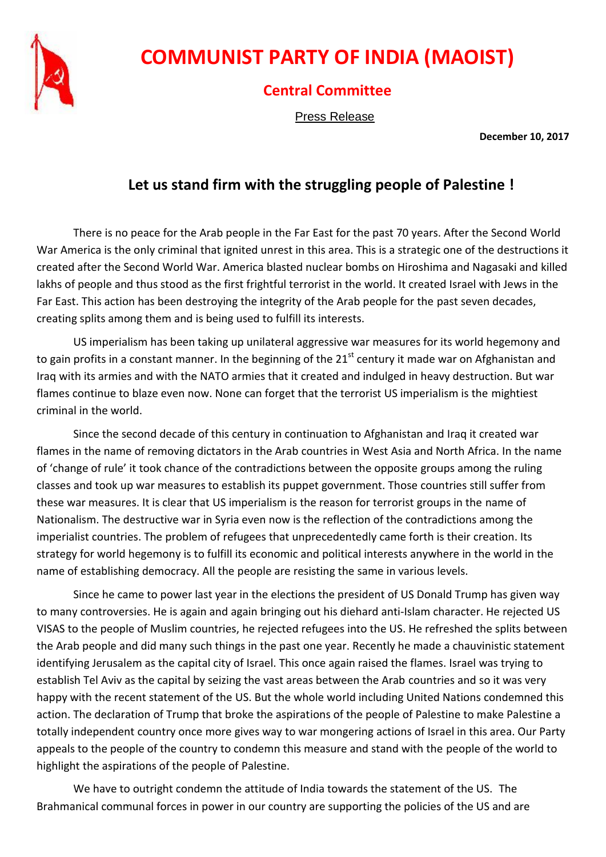

## **COMMUNIST PARTY OF INDIA (MAOIST)**

## **Central Committee**

Press Release

**December 10, 2017**

## **Let us stand firm with the struggling people of Palestine !**

There is no peace for the Arab people in the Far East for the past 70 years. After the Second World War America is the only criminal that ignited unrest in this area. This is a strategic one of the destructions it created after the Second World War. America blasted nuclear bombs on Hiroshima and Nagasaki and killed lakhs of people and thus stood as the first frightful terrorist in the world. It created Israel with Jews in the Far East. This action has been destroying the integrity of the Arab people for the past seven decades, creating splits among them and is being used to fulfill its interests.

US imperialism has been taking up unilateral aggressive war measures for its world hegemony and to gain profits in a constant manner. In the beginning of the  $21<sup>st</sup>$  century it made war on Afghanistan and Iraq with its armies and with the NATO armies that it created and indulged in heavy destruction. But war flames continue to blaze even now. None can forget that the terrorist US imperialism is the mightiest criminal in the world.

Since the second decade of this century in continuation to Afghanistan and Iraq it created war flames in the name of removing dictators in the Arab countries in West Asia and North Africa. In the name of 'change of rule' it took chance of the contradictions between the opposite groups among the ruling classes and took up war measures to establish its puppet government. Those countries still suffer from these war measures. It is clear that US imperialism is the reason for terrorist groups in the name of Nationalism. The destructive war in Syria even now is the reflection of the contradictions among the imperialist countries. The problem of refugees that unprecedentedly came forth is their creation. Its strategy for world hegemony is to fulfill its economic and political interests anywhere in the world in the name of establishing democracy. All the people are resisting the same in various levels.

Since he came to power last year in the elections the president of US Donald Trump has given way to many controversies. He is again and again bringing out his diehard anti-Islam character. He rejected US VISAS to the people of Muslim countries, he rejected refugees into the US. He refreshed the splits between the Arab people and did many such things in the past one year. Recently he made a chauvinistic statement identifying Jerusalem as the capital city of Israel. This once again raised the flames. Israel was trying to establish Tel Aviv as the capital by seizing the vast areas between the Arab countries and so it was very happy with the recent statement of the US. But the whole world including United Nations condemned this action. The declaration of Trump that broke the aspirations of the people of Palestine to make Palestine a totally independent country once more gives way to war mongering actions of Israel in this area. Our Party appeals to the people of the country to condemn this measure and stand with the people of the world to highlight the aspirations of the people of Palestine.

We have to outright condemn the attitude of India towards the statement of the US. The Brahmanical communal forces in power in our country are supporting the policies of the US and are